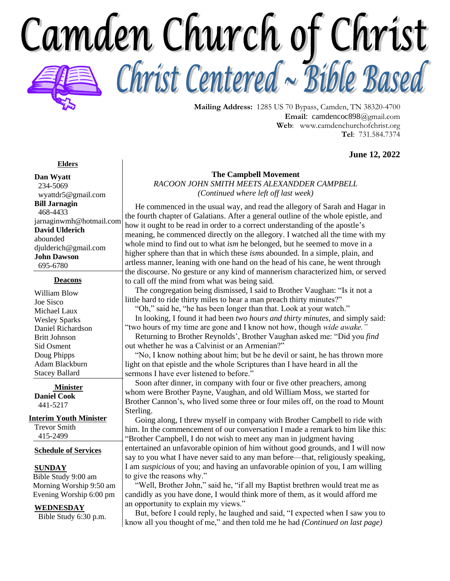Camden Church of Christ Christ Centered ~ Bible Based



**Mailing Address:** 1285 US 70 Bypass, Camden, TN 38320-4700 **Email**: camdencoc898@gmail.com **Web**: [www.camdenchurchofchrist.org](http://www.camdencoc.com/) **Tel**: 731.584.7374

**June 12, 2022**

### **Elders**

**Dan Wyatt** 234-5069 wyattdr5@gmail.com **Bill Jarnagin** 468-4433 jarnaginwmh@hotmail.com **David Ulderich** abounded [djulderich@gmail.com](mailto:djulderich@gmail.com) **John Dawson** 695-6780

#### **Deacons**

William Blow Joe Sisco Michael Laux Wesley Sparks Daniel Richardson Britt Johnson Sid Osment Doug Phipps Adam Blackburn Stacey Ballard

**Minister Daniel Cook** 441-5217

#### **Interim Youth Minister**

Trevor Smith 415-2499

#### **Schedule of Services**

#### **SUNDAY**

 Bible Study 9:00 am Morning Worship 9:50 am Evening Worship 6:00 pm

### **WEDNESDAY**

Bible Study 6:30 p.m.

#### **The Campbell Movement**

*RACOON JOHN SMITH MEETS ALEXANDDER CAMPBELL (Continued where left off last week)*

 He commenced in the usual way, and read the allegory of Sarah and Hagar in the fourth chapter of Galatians. After a general outline of the whole epistle, and how it ought to be read in order to a correct understanding of the apostle's meaning, he commenced directly on the allegory. I watched all the time with my whole mind to find out to what *ism* he belonged, but he seemed to move in a higher sphere than that in which these *isms* abounded. In a simple, plain, and artless manner, leaning with one hand on the head of his cane, he went through the discourse. No gesture or any kind of mannerism characterized him, or served to call off the mind from what was being said*.*

 The congregation being dismissed, I said to Brother Vaughan: "Is it not a little hard to ride thirty miles to hear a man preach thirty minutes?"

 "Oh," said he, "he has been longer than that. Look at your watch." In looking, I found it had been *two hours and thirty minutes*, and simply said:

"two hours of my time are gone and I know not how, though *wide awake."* Returning to Brother Reynolds', Brother Vaughan asked me: "Did you *find* out whether he was a Calvinist or an Armenian?"

 "No, I know nothing about him; but be he devil or saint, he has thrown more light on that epistle and the whole Scriptures than I have heard in all the sermons I have ever listened to before."

 Soon after dinner, in company with four or five other preachers, among whom were Brother Payne, Vaughan, and old William Moss, we started for Brother Cannon's, who lived some three or four miles off, on the road to Mount Sterling.

 Going along, I threw myself in company with Brother Campbell to ride with him. In the commencement of our conversation I made a remark to him like this: "Brother Campbell, I do not wish to meet any man in judgment having entertained an unfavorable opinion of him without good grounds, and I will now say to you what I have never said to any man before—that, religiously speaking, I am *suspicious* of you; and having an unfavorable opinion of you, I am willing to give the reasons why."

"Well, Brother John," said he, "if all my Baptist brethren would treat me as candidly as you have done, I would think more of them, as it would afford me an opportunity to explain my views."

 But, before I could reply, he laughed and said, "I expected when I saw you to know all you thought of me," and then told me he had *(Continued on last page)*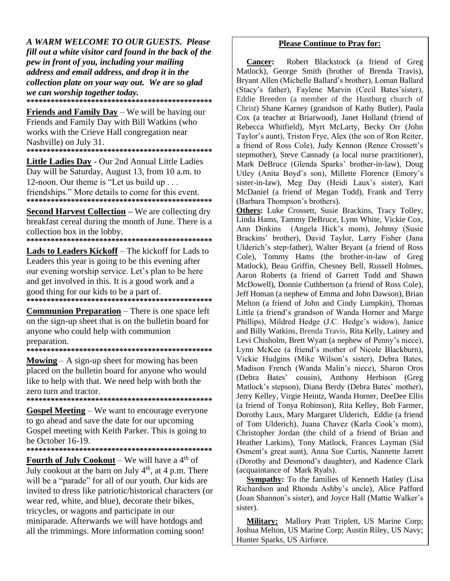A WARM WELCOME TO OUR GUESTS. Please fill out a white visitor card found in the back of the pew in front of you, including your mailing address and email address, and drop it in the collection plate on your way out. We are so glad we can worship together today. 

**Friends and Family Day** – We will be having our Friends and Family Day with Bill Watkins (who works with the Crieve Hall congregation near Nashville) on July 31. 

Little Ladies Day - Our 2nd Annual Little Ladies Day will be Saturday, August 13, from 10 a.m. to 12-noon. Our theme is "Let us build up . . . friendships." More details to come for this event. 

**<u>Second Harvest Collection</u>** – We are collecting dry breakfast cereal during the month of June. There is a collection box in the lobby.

**Lads to Leaders Kickoff** – The kickoff for Lads to Leaders this year is going to be this evening after our evening worship service. Let's plan to be here and get involved in this. It is a good work and a good thing for our kids to be a part of. 

**Communion Preparation** – There is one space left on the sign-up sheet that is on the bulletin board for anyone who could help with communion preparation.

**Mowing**  $- A$  sign-up sheet for mowing has been placed on the bulletin board for anyone who would like to help with that. We need help with both the zero turn and tractor. 

**Gospel Meeting** – We want to encourage everyone to go ahead and save the date for our upcoming Gospel meeting with Keith Parker. This is going to be October 16-19.

**Fourth of July Cookout** – We will have a  $4<sup>th</sup>$  of July cookout at the barn on July  $4<sup>th</sup>$ , at 4 p.m. There will be a "parade" for all of our youth. Our kids are invited to dress like patriotic/historical characters (or wear red, white, and blue), decorate their bikes, tricycles, or wagons and participate in our miniparade. Afterwards we will have hotdogs and all the trimmings. More information coming soon!

### **Please Continue to Pray for:**

Robert Blackstock (a friend of Greg **Cancer:** Matlock), George Smith (brother of Brenda Travis), Bryant Allen (Michelle Ballard's brother), Loman Ballard (Stacy's father), Faylene Marvin (Cecil Bates'sister), Eddie Breeden (a member of the Hustburg church of Christ) Shane Karney (grandson of Kathy Butler), Paula Cox (a teacher at Briarwood), Janet Holland (friend of Rebecca Whitfield), Myrt McLarty, Becky Orr (John Taylor's aunt), Triston Frye, Alex (the son of Ron Reiter, a friend of Ross Cole), Judy Kennon (Renee Crossett's stepmother). Steve Cannady (a local nurse practitioner). Mark DeBruce (Glenda Sparks' brother-in-law), Doug Utley (Anita Boyd's son), Millette Florence (Emory's sister-in-law), Meg Day (Heidi Laux's sister), Kari McDaniel (a friend of Megan Todd), Frank and Terry (Barbara Thompson's brothers).

**Others:** Luke Crossett, Susie Brackins, Tracy Tolley, Linda Hams, Tammy DeBruce, Lynn White, Vickie Cox, Ann Dinkins (Angela Hick's mom), Johnny (Susie Brackins' brother), David Taylor, Larry Fisher (Jana Ulderich's step-father), Walter Bryant (a friend of Ross Cole), Tommy Hams (the brother-in-law of Greg Matlock), Beau Griffin, Chesney Bell, Russell Holmes, Aaron Roberts (a friend of Garrett Todd and Shawn McDowell), Donnie Cuthbertson (a friend of Ross Cole), Jeff Homan (a nephew of Emma and John Dawson), Brian Melton (a friend of John and Cindy Lumpkin), Thomas Little (a friend's grandson of Wanda Horner and Marge Phillips), Mildred Hedge (J.C. Hedge's widow), Janice and Billy Watkins, Brenda Travis, Rita Kelly, Lainey and Levi Chisholm, Brett Wyatt (a nephew of Penny's niece), Lynn McKee (a friend's mother of Nicole Blackburn), Vickie Hudgins (Mike Wilson's sister), Debra Bates, Madison French (Wanda Malin's niece). Sharon Oros (Debra Bates' cousin). Anthony Herbison (Greg Matlock's stepson), Diana Berdy (Debra Bates' mother), Jerry Kelley, Virgie Heintz, Wanda Horner, DeeDee Ellis (a friend of Tonya Robinson), Rita Kelley, Bob Farmer, Dorothy Laux, Mary Margaret Ulderich, Eddie (a friend of Tom Ulderich), Juana Chavez (Karla Cook's mom), Christopher Jordan (the child of a friend of Brian and Heather Larkins), Tony Matlock, Frances Layman (Sid Osment's great aunt), Anna Sue Curtis, Nannette Jarrett (Dorothy and Desmond's daughter), and Kadence Clark (acquaintance of Mark Ryals).

**Sympathy:** To the families of Kenneth Hatley (Lisa Richardson and Rhonda Ashby's uncle), Alice Pafford (Joan Shannon's sister), and Joyce Hall (Mattie Walker's sister).

Military: Mallory Pratt Triplett, US Marine Corp; Joshua Melton, US Marine Corp; Austin Riley, US Navy; Hunter Sparks, US Airforce.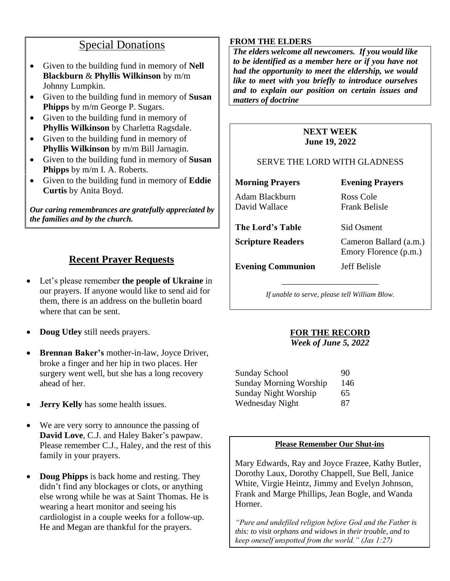# Special Donations

- Given to the building fund in memory of **Nell Blackburn** & **Phyllis Wilkinson** by m/m Johnny Lumpkin.
- Given to the building fund in memory of **Susan Phipps** by m/m George P. Sugars.
- Given to the building fund in memory of **Phyllis Wilkinson** by Charletta Ragsdale.
- Given to the building fund in memory of **Phyllis Wilkinson** by m/m Bill Jarnagin.
- Given to the building fund in memory of **Susan Phipps** by m/m I. A. Roberts.
- Given to the building fund in memory of **Eddie Curtis** by Anita Boyd.

*Our caring remembrances are gratefully appreciated by the families and by the church.*

## **Recent Prayer Requests**

- Let's please remember **the people of Ukraine** in our prayers. If anyone would like to send aid for them, there is an address on the bulletin board where that can be sent.
- **Doug Utley** still needs prayers.
- **Brennan Baker's** mother-in-law, Joyce Driver, broke a finger and her hip in two places. Her surgery went well, but she has a long recovery ahead of her.
- **Jerry Kelly** has some health issues.
- We are very sorry to announce the passing of **David Love**, C.J. and Haley Baker's pawpaw. Please remember C.J., Haley, and the rest of this family in your prayers.
- **Doug Phipps** is back home and resting. They didn't find any blockages or clots, or anything else wrong while he was at Saint Thomas. He is wearing a heart monitor and seeing his cardiologist in a couple weeks for a follow-up. He and Megan are thankful for the prayers.

## **FROM THE ELDERS**

*The elders welcome all newcomers. If you would like to be identified as a member here or if you have not had the opportunity to meet the eldership, we would like to meet with you briefly to introduce ourselves and to explain our position on certain issues and matters of doctrine*

## **NEXT WEEK June 19, 2022**

## SERVE THE LORD WITH GLADNESS

**Morning Prayers Evening Prayers** Adam Blackburn Ross Cole David Wallace Frank Belisle **The Lord's Table** Sid Osment

**Scripture Readers** Cameron Ballard (a.m.) Emory Florence (p.m.)

**Evening Communion** Jeff Belisle

\_\_\_\_\_\_\_\_\_\_\_\_\_\_\_\_\_\_\_\_\_\_

*If unable to serve, please tell William Blow.*

## **FOR THE RECORD** *Week of June 5, 2022*

| Sunday School                 | 90  |
|-------------------------------|-----|
| <b>Sunday Morning Worship</b> | 146 |
| Sunday Night Worship          | 65  |
| Wednesday Night               | 87  |

## **Please Remember Our Shut-ins**

Mary Edwards, Ray and Joyce Frazee, Kathy Butler, Dorothy Laux, Dorothy Chappell, Sue Bell, Janice White, Virgie Heintz, Jimmy and Evelyn Johnson, Frank and Marge Phillips, Jean Bogle, and Wanda Horner.

*"Pure and undefiled religion before God and the Father is this: to visit orphans and widows in their trouble, and to keep oneself unspotted from the world." (Jas 1:27)*